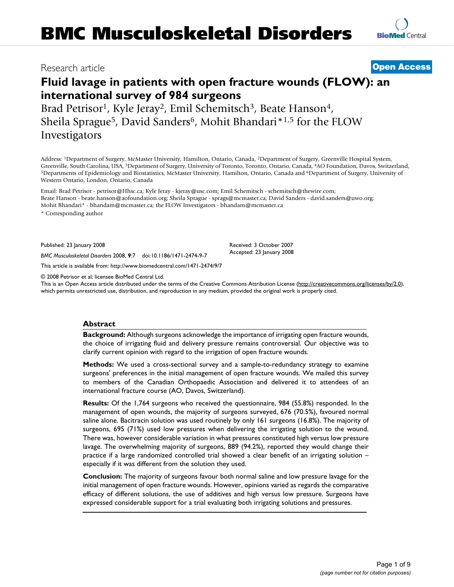# Research article **[Open Access](http://www.biomedcentral.com/info/about/charter/)**

**[BioMed](http://www.biomedcentral.com/)** Central

# **Fluid lavage in patients with open fracture wounds (FLOW): an international survey of 984 surgeons**

Brad Petrisor<sup>1</sup>, Kyle Jeray<sup>2</sup>, Emil Schemitsch<sup>3</sup>, Beate Hanson<sup>4</sup>, Sheila Sprague<sup>5</sup>, David Sanders<sup>6</sup>, Mohit Bhandari<sup>\*1,5</sup> for the FLOW Investigators

Address: <sup>1</sup>Department of Surgery, McMaster University, Hamilton, Ontario, Canada, <sup>2</sup>Department of Surgery, Greenville Hospital System,<br>Greenville, South Carolina, USA, <sup>3</sup>Department of Surgery, University of Toronto, Tor <sup>5</sup>Departments of Epidemiology and Biostatistics, McMaster University, Hamilton, Ontario, Canada and <sup>6</sup>Department of Surgery, University of Western Ontario, London, Ontario, Canada

Email: Brad Petrisor - petrisor@Hhsc.ca; Kyle Jeray - kjeray@usc.com; Emil Schemitsch - schemitsch@thewire.com; Beate Hanson - beate.hanson@aofoundation.org; Sheila Sprague - sprags@mcmaster.ca; David Sanders - david.sanders@uwo.org; Mohit Bhandari\* - bhandam@mcmaster.ca; the FLOW Investigators - bhandam@mcmaster.ca

\* Corresponding author

Published: 23 January 2008

Received: 3 October 2007 Accepted: 23 January 2008

*BMC Musculoskeletal Disorders* 2008, **9**:7 doi:10.1186/1471-2474-9-7

[This article is available from: http://www.biomedcentral.com/1471-2474/9/7](http://www.biomedcentral.com/1471-2474/9/7)

© 2008 Petrisor et al; licensee BioMed Central Ltd.

This is an Open Access article distributed under the terms of the Creative Commons Attribution License [\(http://creativecommons.org/licenses/by/2.0\)](http://creativecommons.org/licenses/by/2.0), which permits unrestricted use, distribution, and reproduction in any medium, provided the original work is properly cited.

#### **Abstract**

**Background:** Although surgeons acknowledge the importance of irrigating open fracture wounds, the choice of irrigating fluid and delivery pressure remains controversial. Our objective was to clarify current opinion with regard to the irrigation of open fracture wounds.

**Methods:** We used a cross-sectional survey and a sample-to-redundancy strategy to examine surgeons' preferences in the initial management of open fracture wounds. We mailed this survey to members of the Canadian Orthopaedic Association and delivered it to attendees of an international fracture course (AO, Davos, Switzerland).

**Results:** Of the 1,764 surgeons who received the questionnaire, 984 (55.8%) responded. In the management of open wounds, the majority of surgeons surveyed, 676 (70.5%), favoured normal saline alone. Bacitracin solution was used routinely by only 161 surgeons (16.8%). The majority of surgeons, 695 (71%) used low pressures when delivering the irrigating solution to the wound. There was, however considerable variation in what pressures constituted high versus low pressure lavage. The overwhelming majority of surgeons, 889 (94.2%), reported they would change their practice if a large randomized controlled trial showed a clear benefit of an irrigating solution – especially if it was different from the solution they used.

**Conclusion:** The majority of surgeons favour both normal saline and low pressure lavage for the initial management of open fracture wounds. However, opinions varied as regards the comparative efficacy of different solutions, the use of additives and high versus low pressure. Surgeons have expressed considerable support for a trial evaluating both irrigating solutions and pressures.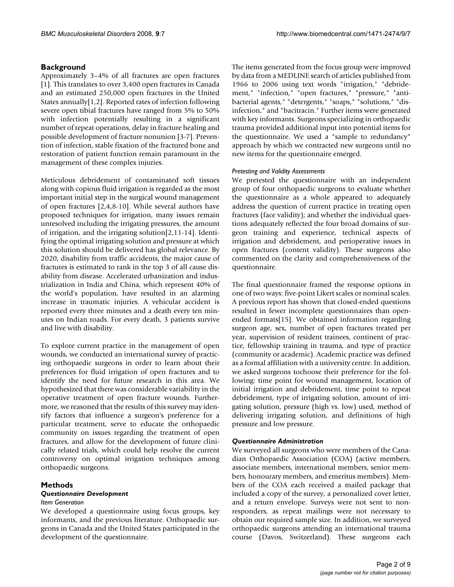# **Background**

Approximately 3–4% of all fractures are open fractures [1]. This translates to over 3,400 open fractures in Canada and an estimated 250,000 open fractures in the United States annually[1,2]. Reported rates of infection following severe open tibial fractures have ranged from 5% to 50% with infection potentially resulting in a significant number of repeat operations, delay in fracture healing and possible development of fracture nonunion [3-7]. Prevention of infection, stable fixation of the fractured bone and restoration of patient function remain paramount in the management of these complex injuries.

Meticulous debridement of contaminated soft tissues along with copious fluid irrigation is regarded as the most important initial step in the surgical wound management of open fractures [2,4,8-10]. While several authors have proposed techniques for irrigation, many issues remain unresolved including the irrigating pressures, the amount of irrigation, and the irrigating solution[2,11-14]. Identifying the optimal irrigating solution and pressure at which this solution should be delivered has global relevance. By 2020, disability from traffic accidents, the major cause of fractures is estimated to rank in the top 3 of all cause disability from disease. Accelerated urbanization and industrialization in India and China, which represent 40% of the world's population, have resulted in an alarming increase in traumatic injuries. A vehicular accident is reported every three minutes and a death every ten minutes on Indian roads. For every death, 3 patients survive and live with disability.

To explore current practice in the management of open wounds, we conducted an international survey of practicing orthopaedic surgeons in order to learn about their preferences for fluid irrigation of open fractures and to identify the need for future research in this area. We hypothesized that there was considerable variability in the operative treatment of open fracture wounds. Furthermore, we reasoned that the results of this survey may identify factors that influence a surgeon's preference for a particular treatment, serve to educate the orthopaedic community on issues regarding the treatment of open fractures, and allow for the development of future clinically related trials, which could help resolve the current controversy on optimal irrigation techniques among orthopaedic surgeons.

# **Methods**

#### *Questionnaire Development*

# *Item Generation*

We developed a questionnaire using focus groups, key informants, and the previous literature. Orthopaedic surgeons in Canada and the United States participated in the development of the questionnaire.

The items generated from the focus group were improved by data from a MEDLINE search of articles published from 1966 to 2006 using text words "irrigation," "debridement," "infection," "open fractures," "pressure," "antibacterial agents," "detergents," "soaps," "solutions," "disinfection," and "bacitracin." Further items were generated with key informants. Surgeons specializing in orthopaedic trauma provided additional input into potential items for the questionnaire. We used a "sample to redundancy" approach by which we contracted new surgeons until no new items for the questionnaire emerged.

# *Pretesting and Validity Assessments*

We pretested the questionnaire with an independent group of four orthopaedic surgeons to evaluate whether the questionnaire as a whole appeared to adequately address the question of current practice in treating open fractures (face validity); and whether the individual questions adequately reflected the four broad domains of surgeon training and experience, technical aspects of irrigation and debridement, and perioperative issues in open fractures (content validity). These surgeons also commented on the clarity and comprehensiveness of the questionnaire.

The final questionnaire framed the response options in one of two ways: five-point Likert scales or nominal scales. A previous report has shown that closed-ended questions resulted in fewer incomplete questionnaires than openended formats[15]. We obtained information regarding surgeon age, sex, number of open fractures treated per year, supervision of resident trainees, continent of practice, fellowship training in trauma, and type of practice (community or academic). Academic practice was defined as a formal affiliation with a university centre. In addition, we asked surgeons tochoose their preference for the following: time point for wound management, location of initial irrigation and debridement, time point to repeat debridement, type of irrigating solution, amount of irrigating solution, pressure (high vs. low) used, method of delivering irrigating solution, and definitions of high pressure and low pressure.

# *Questionnaire Administration*

We surveyed all surgeons who were members of the Canadian Orthopaedic Association (COA) (active members, associate members, international members, senior members, honourary members, and emeritus members). Members of the COA each received a mailed package that included a copy of the survey, a personalized cover letter, and a return envelope. Surveys were not sent to nonresponders, as repeat mailings were not necessary to obtain our required sample size. In addition, we surveyed orthopaedic surgeons attending an international trauma course (Davos, Switzerland). These surgeons each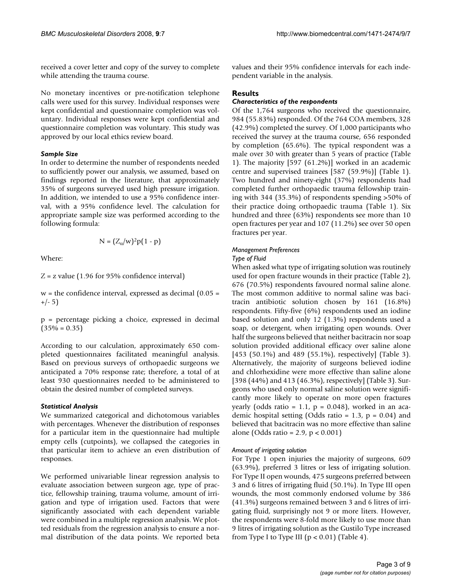received a cover letter and copy of the survey to complete while attending the trauma course.

No monetary incentives or pre-notification telephone calls were used for this survey. Individual responses were kept confidential and questionnaire completion was voluntary. Individual responses were kept confidential and questionnaire completion was voluntary. This study was approved by our local ethics review board.

### *Sample Size*

In order to determine the number of respondents needed to sufficiently power our analysis, we assumed, based on findings reported in the literature, that approximately 35% of surgeons surveyed used high pressure irrigation. In addition, we intended to use a 95% confidence interval, with a 95% confidence level. The calculation for appropriate sample size was performed according to the following formula:

$$
N = (Z_{\alpha}/w)^2 p(1-p)
$$

Where:

 $Z = z$  value (1.96 for 95% confidence interval)

 $w =$  the confidence interval, expressed as decimal  $(0.05 =$  $+/- 5)$ 

p = percentage picking a choice, expressed in decimal  $(35% = 0.35)$ 

According to our calculation, approximately 650 completed questionnaires facilitated meaningful analysis. Based on previous surveys of orthopaedic surgeons we anticipated a 70% response rate; therefore, a total of at least 930 questionnaires needed to be administered to obtain the desired number of completed surveys.

# *Statistical Analysis*

We summarized categorical and dichotomous variables with percentages. Whenever the distribution of responses for a particular item in the questionnaire had multiple empty cells (cutpoints), we collapsed the categories in that particular item to achieve an even distribution of responses.

We performed univariable linear regression analysis to evaluate association between surgeon age, type of practice, fellowship training, trauma volume, amount of irrigation and type of irrigation used. Factors that were significantly associated with each dependent variable were combined in a multiple regression analysis. We plotted residuals from the regression analysis to ensure a normal distribution of the data points. We reported beta

values and their 95% confidence intervals for each independent variable in the analysis.

# **Results**

# *Characteristics of the respondents*

Of the 1,764 surgeons who received the questionnaire, 984 (55.83%) responded. Of the 764 COA members, 328 (42.9%) completed the survey. Of 1,000 participants who received the survey at the trauma course, 656 responded by completion (65.6%). The typical respondent was a male over 30 with greater than 5 years of practice (Table 1). The majority [597 (61.2%)] worked in an academic centre and supervised trainees [587 (59.9%)] (Table 1). Two hundred and ninety-eight (37%) respondents had completed further orthopaedic trauma fellowship training with 344 (35.3%) of respondents spending >50% of their practice doing orthopaedic trauma (Table 1). Six hundred and three (63%) respondents see more than 10 open fractures per year and 107 (11.2%) see over 50 open fractures per year.

### *Management Preferences*

#### *Type of Fluid*

When asked what type of irrigating solution was routinely used for open fracture wounds in their practice (Table 2), 676 (70.5%) respondents favoured normal saline alone. The most common additive to normal saline was bacitracin antibiotic solution chosen by 161 (16.8%) respondents. Fifty-five (6%) respondents used an iodine based solution and only 12 (1.3%) respondents used a soap, or detergent, when irrigating open wounds. Over half the surgeons believed that neither bacitracin nor soap solution provided additional efficacy over saline alone [453 (50.1%) and 489 (55.1%), respectively] (Table 3). Alternatively, the majority of surgeons believed iodine and chlorhexidine were more effective than saline alone [398 (44%) and 413 (46.3%), respectively] (Table 3). Surgeons who used only normal saline solution were significantly more likely to operate on more open fractures yearly (odds ratio =  $1.1$ ,  $p = 0.048$ ), worked in an academic hospital setting (Odds ratio =  $1.3$ ,  $p = 0.04$ ) and believed that bacitracin was no more effective than saline alone (Odds ratio = 2.9, p < 0.001)

#### *Amount of irrigating solution*

For Type 1 open injuries the majority of surgeons, 609 (63.9%), preferred 3 litres or less of irrigating solution. For Type II open wounds, 475 surgeons preferred between 3 and 6 litres of irrigating fluid (50.1%). In Type III open wounds, the most commonly endorsed volume by 386 (41.3%) surgeons remained between 3 and 6 litres of irrigating fluid, surprisingly not 9 or more liters. However, the respondents were 8-fold more likely to use more than 9 litres of irrigating solution as the Gustilo Type increased from Type I to Type III  $(p < 0.01)$  (Table 4).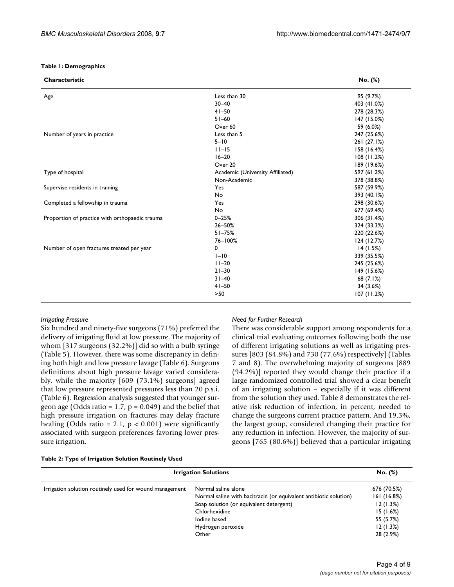#### **Table 1: Demographics**

| Characteristic                                 |                                  | No. (%)     |
|------------------------------------------------|----------------------------------|-------------|
| Age                                            | Less than 30                     | 95 (9.7%)   |
|                                                | $30 - 40$                        | 403 (41.0%) |
|                                                | $41 - 50$                        | 278 (28.3%) |
|                                                | $51 - 60$                        | 147 (15.0%) |
|                                                | Over 60                          | 59 (6.0%)   |
| Number of years in practice                    | Less than 5                      | 247 (25.6%) |
|                                                | $5 - 10$                         | 261 (27.1%) |
|                                                | $11 - 15$                        | 158 (16.4%) |
|                                                | $16 - 20$                        | 108(11.2%)  |
|                                                | Over 20                          | 189 (19.6%) |
| Type of hospital                               | Academic (University Affiliated) | 597 (61.2%) |
|                                                | Non-Academic                     | 378 (38.8%) |
| Supervise residents in training                | Yes                              | 587 (59.9%) |
|                                                | No                               | 393 (40.1%) |
| Completed a fellowship in trauma               | Yes                              | 298 (30.6%) |
|                                                | No                               | 677 (69.4%) |
| Proportion of practice with orthopaedic trauma | $0 - 25%$                        | 306 (31.4%) |
|                                                | 26-50%                           | 324 (33.3%) |
|                                                | $51 - 75%$                       | 220 (22.6%) |
|                                                | 76-100%                          | 124(12.7%)  |
| Number of open fractures treated per year      | 0                                | 14(1.5%)    |
|                                                | $I-I0$                           | 339 (35.5%) |
|                                                | $11 - 20$                        | 245 (25.6%) |
|                                                | $21 - 30$                        | 149 (15.6%) |
|                                                | $31 - 40$                        | 68 (7.1%)   |
|                                                | $41 - 50$                        | 34 (3.6%)   |
|                                                | $>50$                            | 107 (11.2%) |
|                                                |                                  |             |

#### *Irrigating Pressure*

Six hundred and ninety-five surgeons (71%) preferred the delivery of irrigating fluid at low pressure. The majority of whom [317 surgeons (32.2%)] did so with a bulb syringe (Table 5). However, there was some discrepancy in defining both high and low pressure lavage (Table 6). Surgeons definitions about high pressure lavage varied considerably, while the majority [609 (73.1%) surgeons] agreed that low pressure represented pressures less than 20 p.s.i. (Table 6). Regression analysis suggested that younger surgeon age (Odds ratio =  $1.7$ ,  $p = 0.049$ ) and the belief that high pressure irrigation on fractures may delay fracture healing (Odds ratio = 2.1,  $p < 0.001$ ) were significantly associated with surgeon preferences favoring lower pressure irrigation.

## *Need for Further Research*

There was considerable support among respondents for a clinical trial evaluating outcomes following both the use of different irrigating solutions as well as irrigating pressures [803 (84.8%) and 730 (77.6%) respectively] (Tables 7 and 8). The overwhelming majority of surgeons [889 (94.2%)] reported they would change their practice if a large randomized controlled trial showed a clear benefit of an irrigating solution – especially if it was different from the solution they used. Table 8 demonstrates the relative risk reduction of infection, in percent, needed to change the surgeons current practice pattern. And 19.3%, the largest group, considered changing their practice for any reduction in infection. However, the majority of surgeons [765 (80.6%)] believed that a particular irrigating

| Table 2: Type of Irrigation Solution Routinely Used |  |  |
|-----------------------------------------------------|--|--|
|-----------------------------------------------------|--|--|

| <b>Irrigation Solutions</b>                                       |                                                             | No. (%)     |
|-------------------------------------------------------------------|-------------------------------------------------------------|-------------|
| Irrigation solution routinely used for wound management           | Normal saline alone                                         | 676 (70.5%) |
| Normal saline with bacitracin (or equivalent antibiotic solution) |                                                             | 161(16.8%)  |
| Soap solution (or equivalent detergent)                           |                                                             | 12(1.3%)    |
|                                                                   | Chlorhexidine<br>lodine based<br>Hydrogen peroxide<br>Other | 15(1.6%)    |
|                                                                   |                                                             | 55 (5.7%)   |
|                                                                   |                                                             | 12(1.3%)    |
|                                                                   |                                                             | 28 (2.9%)   |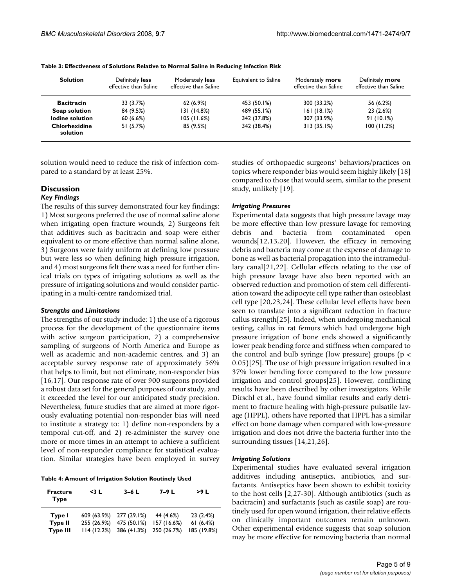| <b>Solution</b>           | Definitely less<br>effective than Saline | Moderately less<br>effective than Saline | Equivalent to Saline | Moderately more<br>effective than Saline | Definitely more<br>effective than Saline |
|---------------------------|------------------------------------------|------------------------------------------|----------------------|------------------------------------------|------------------------------------------|
| <b>Bacitracin</b>         | 33 (3.7%)                                | 62(6.9%)                                 | 453 (50.1%)          | 300 (33.2%)                              | 56 (6.2%)                                |
| Soap solution             | 84 (9.5%)                                | 131 (14.8%)                              | 489 (55.1%)          | 161(18.1%)                               | 23(2.6%)                                 |
| <b>Iodine solution</b>    | 60(6.6%)                                 | 105(11.6%)                               | 342 (37.8%)          | 307 (33.9%)                              | 91(10.1%)                                |
| Chlorhexidine<br>solution | 51 (5.7%)                                | 85 (9.5%)                                | 342 (38.4%)          | 313(35.1%)                               | 100(11.2%)                               |

**Table 3: Effectiveness of Solutions Relative to Normal Saline in Reducing Infection Risk**

solution would need to reduce the risk of infection compared to a standard by at least 25%.

#### **Discussion**

### *Key Findings*

The results of this survey demonstrated four key findings: 1) Most surgeons preferred the use of normal saline alone when irrigating open fracture wounds, 2) Surgeons felt that additives such as bacitracin and soap were either equivalent to or more effective than normal saline alone, 3) Surgeons were fairly uniform at defining low pressure but were less so when defining high pressure irrigation, and 4) most surgeons felt there was a need for further clinical trials on types of irrigating solutions as well as the pressure of irrigating solutions and would consider participating in a multi-centre randomized trial.

#### *Strengths and Limitations*

The strengths of our study include: 1) the use of a rigorous process for the development of the questionnaire items with active surgeon participation, 2) a comprehensive sampling of surgeons of North America and Europe as well as academic and non-academic centres, and 3) an acceptable survey response rate of approximately 56% that helps to limit, but not eliminate, non-responder bias [16,17]. Our response rate of over 900 surgeons provided a robust data set for the general purposes of our study, and it exceeded the level for our anticipated study precision. Nevertheless, future studies that are aimed at more rigorously evaluating potential non-responder bias will need to institute a strategy to: 1) define non-responders by a temporal cut-off, and 2) re-administer the survey one more or more times in an attempt to achieve a sufficient level of non-responder compliance for statistical evaluation. Similar strategies have been employed in survey

**Table 4: Amount of Irrigation Solution Routinely Used**

| <b>Fracture</b><br><b>Type</b> | <3 L        | $3-6L$      | 7-9 L       | >9 L        |
|--------------------------------|-------------|-------------|-------------|-------------|
| Type I                         | 609 (63.9%) | 277 (29.1%) | 44 (4.6%)   | 23(2.4%)    |
| <b>Type II</b>                 | 255 (26.9%) | 475 (50.1%) | 157 (16.6%) | 61(6.4%)    |
| <b>Type III</b>                | 114 (12.2%) | 386 (41.3%) | 250 (26.7%) | 185 (19.8%) |

studies of orthopaedic surgeons' behaviors/practices on topics where responder bias would seem highly likely [18] compared to those that would seem, similar to the present study, unlikely [19].

#### *Irrigating Pressures*

Experimental data suggests that high pressure lavage may be more effective than low pressure lavage for removing debris and bacteria from contaminated open wounds[12,13,20]. However, the efficacy in removing debris and bacteria may come at the expense of damage to bone as well as bacterial propagation into the intramedullary canal[21,22]. Cellular effects relating to the use of high pressure lavage have also been reported with an observed reduction and promotion of stem cell differentiation toward the adipocyte cell type rather than osteoblast cell type [20,23,24]. These cellular level effects have been seen to translate into a significant reduction in fracture callus strength[25]. Indeed, when undergoing mechanical testing, callus in rat femurs which had undergone high pressure irrigation of bone ends showed a significantly lower peak bending force and stiffness when compared to the control and bulb syringe (low pressure) groups (p < 0.05)[25]. The use of high pressure irrigation resulted in a 37% lower bending force compared to the low pressure irrigation and control groups[25]. However, conflicting results have been described by other investigators. While Dirschl et al., have found similar results and early detriment to fracture healing with high-pressure pulsatile lavage (HPPL), others have reported that HPPL has a similar effect on bone damage when compared with low-pressure irrigation and does not drive the bacteria further into the surrounding tissues [14,21,26].

#### *Irrigating Solutions*

Experimental studies have evaluated several irrigation additives including antiseptics, antibiotics, and surfactants. Antiseptics have been shown to exhibit toxicity to the host cells [2,27-30]. Although antibiotics (such as bacitracin) and surfactants (such as castile soap) are routinely used for open wound irrigation, their relative effects on clinically important outcomes remain unknown. Other experimental evidence suggests that soap solution may be more effective for removing bacteria than normal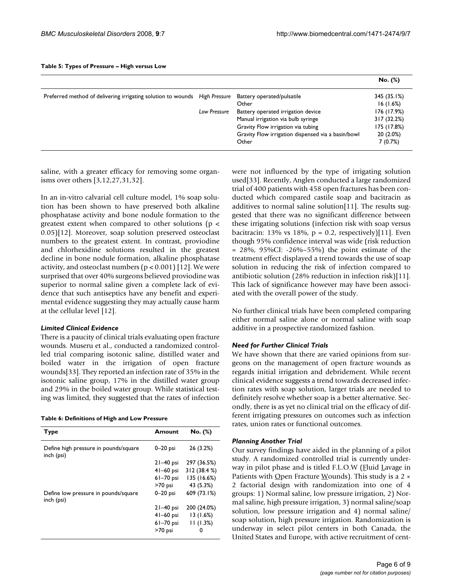|  |  | Table 5: Types of Pressure - High versus Low |
|--|--|----------------------------------------------|
|--|--|----------------------------------------------|

|                                                                            |                     |                                                    | No. (%)     |
|----------------------------------------------------------------------------|---------------------|----------------------------------------------------|-------------|
| Preferred method of delivering irrigating solution to wounds High Pressure |                     | Battery operated/pulsatile                         | 345 (35.1%) |
|                                                                            |                     | Other                                              | 16(1.6%)    |
|                                                                            | <b>Low Pressure</b> | Battery operated irrigation device                 | 176 (17.9%) |
|                                                                            |                     | Manual irrigation via bulb syringe                 | 317 (32.2%) |
|                                                                            |                     | Gravity Flow irrigation via tubing                 | 175 (17.8%) |
|                                                                            |                     | Gravity Flow irrigation dispensed via a basin/bowl | 20(2.0%)    |
|                                                                            |                     | Other                                              | 7(0.7%)     |

saline, with a greater efficacy for removing some organisms over others [3,12,27,31,32].

In an in-vitro calvarial cell culture model, 1% soap solution has been shown to have preserved both alkaline phosphatase activity and bone nodule formation to the greatest extent when compared to other solutions (p < 0.05)[12]. Moreover, soap solution preserved osteoclast numbers to the greatest extent. In contrast, proviodine and chlorhexidine solutions resulted in the greatest decline in bone nodule formation, alkaline phosphatase activity, and osteoclast numbers  $(p < 0.001)$  [12]. We were surprised that over 40% surgeons believed proviodine was superior to normal saline given a complete lack of evidence that such antiseptics have any benefit and experimental evidence suggesting they may actually cause harm at the cellular level [12].

#### *Limited Clinical Evidence*

There is a paucity of clinical trials evaluating open fracture wounds. Museru et al., conducted a randomized controlled trial comparing isotonic saline, distilled water and boiled water in the irrigation of open fracture wounds[33]. They reported an infection rate of 35% in the isotonic saline group, 17% in the distilled water group and 29% in the boiled water group. While statistical testing was limited, they suggested that the rates of infection

|  |  | Table 6: Definitions of High and Low Pressure |  |  |
|--|--|-----------------------------------------------|--|--|
|--|--|-----------------------------------------------|--|--|

| Type                                                | Amount       | No. (%)     |
|-----------------------------------------------------|--------------|-------------|
| Define high pressure in pounds/square<br>inch (psi) | $0 - 20$ psi | 26 (3.2%)   |
|                                                     | $21-40$ psi  | 297 (36.5%) |
|                                                     | $41-60$ psi  | 312(38.4%)  |
|                                                     | $61-70$ psi  | 135 (16.6%) |
|                                                     | >70 psi      | 43 (5.3%)   |
| Define low pressure in pounds/square<br>inch (psi)  | $0 - 20$ psi | 609 (73.1%) |
|                                                     | $21-40$ psi  | 200 (24.0%) |
|                                                     | $41-60$ psi  | 13(1.6%)    |
|                                                     | $61-70$ psi  | 11(1.3%)    |
|                                                     | $>70$ psi    | o           |

were not influenced by the type of irrigating solution used[33]. Recently, Anglen conducted a large randomized trial of 400 patients with 458 open fractures has been conducted which compared castile soap and bacitracin as additives to normal saline solution[11]. The results suggested that there was no significant difference between these irrigating solutions (infection risk with soap versus bacitracin: 13% vs 18%,  $p = 0.2$ , respectively)[11]. Even though 95% confidence interval was wide (risk reduction  $= 28\%$ , 95%CI: -26%–55%) the point estimate of the treatment effect displayed a trend towards the use of soap solution in reducing the risk of infection compared to antibiotic solution (28% reduction in infection risk)[11]. This lack of significance however may have been associated with the overall power of the study.

No further clinical trials have been completed comparing either normal saline alone or normal saline with soap additive in a prospective randomized fashion.

#### *Need for Further Clinical Trials*

We have shown that there are varied opinions from surgeons on the management of open fracture wounds as regards initial irrigation and debridement. While recent clinical evidence suggests a trend towards decreased infection rates with soap solution, larger trials are needed to definitely resolve whether soap is a better alternative. Secondly, there is as yet no clinical trial on the efficacy of different irrigating pressures on outcomes such as infection rates, union rates or functional outcomes.

#### *Planning Another Trial*

Our survey findings have aided in the planning of a pilot study. A randomized controlled trial is currently underway in pilot phase and is titled F.L.O.W (Fluid Lavage in Patients with Open Fracture Wounds). This study is a  $2 \times$ 2 factorial design with randomization into one of 4 groups: 1) Normal saline, low pressure irrigation, 2) Normal saline, high pressure irrigation, 3) normal saline/soap solution, low pressure irrigation and 4) normal saline/ soap solution, high pressure irrigation. Randomization is underway in select pilot centers in both Canada, the United States and Europe, with active recruitment of cent-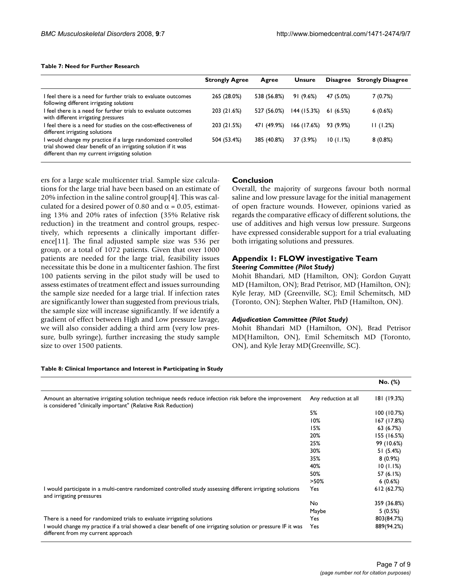#### **Table 7: Need for Further Research**

|                                                                                                                                                                                | <b>Strongly Agree</b> | Agree       | <b>Unsure</b> | <b>Disagree</b> | <b>Strongly Disagree</b> |
|--------------------------------------------------------------------------------------------------------------------------------------------------------------------------------|-----------------------|-------------|---------------|-----------------|--------------------------|
| I feel there is a need for further trials to evaluate outcomes<br>following different irrigating solutions                                                                     | 265 (28.0%)           | 538 (56.8%) | 91(9.6%)      | 47 (5.0%)       | 7(0.7%)                  |
| I feel there is a need for further trials to evaluate outcomes<br>with different irrigating pressures                                                                          | 203 (21.6%)           | 527 (56.0%) | 144(15.3%)    | 61(6.5%)        | 6(0.6%)                  |
| I feel there is a need for studies on the cost-effectiveness of<br>different irrigating solutions                                                                              | 203 (21.5%)           | 471 (49.9%) | 166 (17.6%)   | 93 (9.9%)       | 11(1.2%)                 |
| I would change my practice if a large randomized controlled<br>trial showed clear benefit of an irrigating solution if it was<br>different than my current irrigating solution | 504 (53.4%)           | 385 (40.8%) | 37 (3.9%)     | 10(1.1%)        | 8(0.8%)                  |

ers for a large scale multicenter trial. Sample size calculations for the large trial have been based on an estimate of 20% infection in the saline control group[4]. This was calculated for a desired power of 0.80 and  $\alpha$  = 0.05, estimating 13% and 20% rates of infection (35% Relative risk reduction) in the treatment and control groups, respectively, which represents a clinically important difference[11]. The final adjusted sample size was 536 per group, or a total of 1072 patients. Given that over 1000 patients are needed for the large trial, feasibility issues necessitate this be done in a multicenter fashion. The first 100 patients serving in the pilot study will be used to assess estimates of treatment effect and issues surrounding the sample size needed for a large trial. If infection rates are significantly lower than suggested from previous trials, the sample size will increase significantly. If we identify a gradient of effect between High and Low pressure lavage, we will also consider adding a third arm (very low pressure, bulb syringe), further increasing the study sample size to over 1500 patients.

#### **Conclusion**

Overall, the majority of surgeons favour both normal saline and low pressure lavage for the initial management of open fracture wounds. However, opinions varied as regards the comparative efficacy of different solutions, the use of additives and high versus low pressure. Surgeons have expressed considerable support for a trial evaluating both irrigating solutions and pressures.

#### **Appendix 1: FLOW investigative Team** *Steering Committee (Pilot Study)*

Mohit Bhandari, MD (Hamilton, ON); Gordon Guyatt MD (Hamilton, ON); Brad Petrisor, MD (Hamilton, ON); Kyle Jeray, MD (Greenville, SC); Emil Schemitsch, MD (Toronto, ON); Stephen Walter, PhD (Hamilton, ON).

#### *Adjudication Committee (Pilot Study)*

Mohit Bhandari MD (Hamilton, ON), Brad Petrisor MD(Hamilton, ON), Emil Schemitsch MD (Toronto, ON), and Kyle Jeray MD(Greenville, SC).

#### **Table 8: Clinical Importance and Interest in Participating in Study**

|                                                                                                                                                                          |                      | No. (%)     |
|--------------------------------------------------------------------------------------------------------------------------------------------------------------------------|----------------------|-------------|
| Amount an alternative irrigating solution technique needs reduce infection risk before the improvement<br>is considered "clinically important" (Relative Risk Reduction) | Any reduction at all | 181 (19.3%) |
|                                                                                                                                                                          | 5%                   | 100(10.7%)  |
|                                                                                                                                                                          | 10%                  | 167 (17.8%) |
|                                                                                                                                                                          | 15%                  | 63 (6.7%)   |
|                                                                                                                                                                          | 20%                  | 155 (16.5%) |
|                                                                                                                                                                          | 25%                  | 99 (10.6%)  |
|                                                                                                                                                                          | 30%                  | 51 (5.4%)   |
|                                                                                                                                                                          | 35%                  | $8(0.9\%)$  |
|                                                                                                                                                                          | 40%                  | 10(1.1%)    |
|                                                                                                                                                                          | 50%                  | 57 (6.1%)   |
|                                                                                                                                                                          | $>50\%$              | 6(0.6%)     |
| I would participate in a multi-centre randomized controlled study assessing different irrigating solutions<br>and irrigating pressures                                   | Yes                  | 612 (62.7%) |
|                                                                                                                                                                          | No                   | 359 (36.8%) |
|                                                                                                                                                                          | Maybe                | 5(0.5%)     |
| There is a need for randomized trials to evaluate irrigating solutions                                                                                                   | Yes                  | 803(84.7%)  |
| I would change my practice if a trial showed a clear benefit of one irrigating solution or pressure IF it was<br>different from my current approach                      | Yes                  | 889(94.2%)  |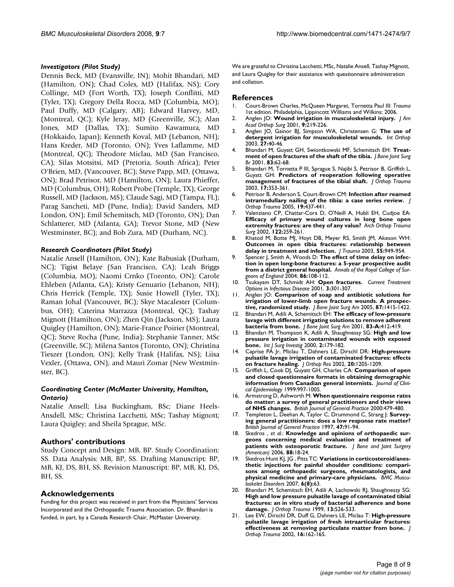#### *Investigators (Pilot Study)*

Dennis Beck, MD (Evansville, IN); Mohit Bhandari, MD (Hamilton, ON); Chad Coles, MD (Halifax, NS); Cory Collinge, MD (Fort Worth, TX); Joseph Conflitti, MD (Tyler, TX); Gregory Della Rocca, MD (Columbia, MO); Paul Duffy, MD (Calgary, AB); Edward Harvey, MD, (Montreal, QC); Kyle Jeray, MD (Greenville, SC); Alan Jones, MD (Dallas, TX); Sumito Kawamura, MD (Hokkaido, Japan); Kenneth Koval, MD (Lebanon, NH); Hans Kreder, MD (Toronto, ON); Yves Laflamme, MD (Montreal, QC); Theodore Miclau, MD (San Francisco, CA); Silas Motsitsi, MD (Pretoria, South Africa); Peter O'Brien, MD, (Vancouver, BC); Steve Papp, MD, (Ottawa, ON); Brad Petrisor, MD (Hamilton, ON); Laura Phieffer, MD (Columbus, OH); Robert Probe (Temple, TX); George Russell, MD (Jackson, MS); Claude Sagi, MD (Tampa, FL); Parag Sancheti, MD (Pune, India); David Sanders, MD London, ON); Emil Schemitsch, MD (Toronto, ON); Dan Schlatterer, MD (Atlanta, GA); Trevor Stone, MD (New Westminster, BC); and Bob Zura, MD (Durham, NC).

#### *Research Coordinators (Pilot Study)*

Natalie Ansell (Hamilton, ON); Kate Babusiak (Durham, NC); Tigist Belaye (San Francisco, CA); Leah Briggs (Columbia, MO); Naomi Crnko (Toronto, ON); Carole Ehleben (Atlanta, GA); Kristy Genuario (Lebanon, NH); Chris Herrick (Temple, TX); Susie Howell (Tyler, TX); Raman Johal (Vancouver, BC); Skye Macalester (Columbus, OH); Caterina Marrazza (Montreal, QC); Tashay Mignott (Hamilton, ON); Zhen Qin (Jackson, MS); Laura Quigley (Hamilton, ON); Marie-France Poirier (Montreal, QC); Steve Rocha (Pune, India); Stephanie Tanner, MSc (Greenville, SC); Milena Santos (Toronto, ON); Christina Tieszer (London, ON); Kelly Trask (Halifax, NS); Liisa Vexler, (Ottawa, ON); and Mauri Zomar (New Westminster, BC).

### *Coordinating Center (McMaster University, Hamilton, Ontario)*

Natalie Ansell; Lisa Buckingham, BSc; Diane Heels-Ansdell, MSc; Christina Lacchetti, MSc; Tashay Mignott; Laura Quigley; and Sheila Sprague, MSc.

#### **Authors' contributions**

Study Concept and Design: MB, BP. Study Coordination: SS. Data Analysis: MB, BP, SS. Drafting Manuscript: BP, MB, KJ, DS, BH, SS. Revision Manuscript: BP, MB, KJ, DS, BH, SS.

#### **Acknowledgements**

Funding for this project was received in part from the Physicians' Services Incorporated and the Orthopaedic Trauma Association. Dr. Bhandari is funded, in part, by a Canada Research Chair, McMaster University.

We are grateful to Christina Lacchetti, MSc, Natalie Ansell, Tashay Mignott, and Laura Quigley for their assistance with questionnaire administration and collation.

#### **References**

- 1. Court-Brown Charles, McQueen Margaret, Tornetta Paul III: *Trauma* 1st edition. Philadelphia, Lippincott Williams and Wilkins; 2006.
- 2. Anglen JO: **[Wound irrigation in musculoskeletal injury.](http://www.ncbi.nlm.nih.gov/entrez/query.fcgi?cmd=Retrieve&db=PubMed&dopt=Abstract&list_uids=11476531)** *J Am Acad Orthop Surg* 2001, **9:**219-226.
- 3. Anglen JO, Gainor BJ, Simpson WA, Christensen G: **[The use of](http://www.ncbi.nlm.nih.gov/entrez/query.fcgi?cmd=Retrieve&db=PubMed&dopt=Abstract&list_uids=12582808) [detergent irrigation for musculoskeletal wounds.](http://www.ncbi.nlm.nih.gov/entrez/query.fcgi?cmd=Retrieve&db=PubMed&dopt=Abstract&list_uids=12582808)** *Int Orthop* 2003, **27:**40-46.
- 4. Bhandari M, Guyatt GH, Swiontkowski MF, Schemitsch EH: **[Treat](http://www.ncbi.nlm.nih.gov/entrez/query.fcgi?cmd=Retrieve&db=PubMed&dopt=Abstract&list_uids=11245540)[ment of open fractures of the shaft of the tibia.](http://www.ncbi.nlm.nih.gov/entrez/query.fcgi?cmd=Retrieve&db=PubMed&dopt=Abstract&list_uids=11245540)** *J Bone Joint Surg Br* 2001, **83:**62-68.
- 5. Bhandari M, Tornetta P III, Sprague S, Najibi S, Petrisor B, Griffith L, Guyatt GH: **[Predictors of reoperation following operative](http://www.ncbi.nlm.nih.gov/entrez/query.fcgi?cmd=Retrieve&db=PubMed&dopt=Abstract&list_uids=12759640) [management of fractures of the tibial shaft.](http://www.ncbi.nlm.nih.gov/entrez/query.fcgi?cmd=Retrieve&db=PubMed&dopt=Abstract&list_uids=12759640)** *J Orthop Trauma* 2003, **17:**353-361.
- 6. Petrisor B, Anderson S, Court-Brown CM: **[Infection after reamed](http://www.ncbi.nlm.nih.gov/entrez/query.fcgi?cmd=Retrieve&db=PubMed&dopt=Abstract&list_uids=16056073) [intramedullary nailing of the tibia: a case series review.](http://www.ncbi.nlm.nih.gov/entrez/query.fcgi?cmd=Retrieve&db=PubMed&dopt=Abstract&list_uids=16056073)** *J Orthop Trauma* 2005, **19:**437-441.
- 7. Valenziano CP, Chattar-Cora D, O'Neill A, Hubli EH, Cudjoe EA: **[Efficacy of primary wound cultures in long bone open](http://www.ncbi.nlm.nih.gov/entrez/query.fcgi?cmd=Retrieve&db=PubMed&dopt=Abstract&list_uids=12070643) [extremity fractures: are they of any value?](http://www.ncbi.nlm.nih.gov/entrez/query.fcgi?cmd=Retrieve&db=PubMed&dopt=Abstract&list_uids=12070643)** *Arch Orthop Trauma Surg* 2002, **122:**259-261.
- 8. Khatod M, Botte MJ, Hoyt DB, Meyer RS, Smith JM, Akeson WH: **[Outcomes in open tibia fractures: relationship between](http://www.ncbi.nlm.nih.gov/entrez/query.fcgi?cmd=Retrieve&db=PubMed&dopt=Abstract&list_uids=14608171) [delay in treatment and infection.](http://www.ncbi.nlm.nih.gov/entrez/query.fcgi?cmd=Retrieve&db=PubMed&dopt=Abstract&list_uids=14608171)** *J Trauma* 2003, **55:**949-954.
- 9. Spencer J, Smith A, Woods D: **[The effect of time delay on infec](http://www.ncbi.nlm.nih.gov/entrez/query.fcgi?cmd=Retrieve&db=PubMed&dopt=Abstract&list_uids=15005929)[tion in open long-bone fractures: a 5-year prospective audit](http://www.ncbi.nlm.nih.gov/entrez/query.fcgi?cmd=Retrieve&db=PubMed&dopt=Abstract&list_uids=15005929) [from a district general hospital.](http://www.ncbi.nlm.nih.gov/entrez/query.fcgi?cmd=Retrieve&db=PubMed&dopt=Abstract&list_uids=15005929)** *Annals of the Royal College of Surgeons of England* 2004, **86:**108-112.
- 10. Tsukayam DT, Schmidt AH: **Open fractures.** *Current Treatment Options in Infectious Disease* 2001, **3:**301-307.
- 11. Anglen JO: **[Comparison of soap and antibiotic solutions for](http://www.ncbi.nlm.nih.gov/entrez/query.fcgi?cmd=Retrieve&db=PubMed&dopt=Abstract&list_uids=15995106) [irrigation of lower-limb open fracture wounds. A prospec](http://www.ncbi.nlm.nih.gov/entrez/query.fcgi?cmd=Retrieve&db=PubMed&dopt=Abstract&list_uids=15995106)[tive, randomized study.](http://www.ncbi.nlm.nih.gov/entrez/query.fcgi?cmd=Retrieve&db=PubMed&dopt=Abstract&list_uids=15995106)** *J Bone Joint Surg Am* 2005, **87:**1415-1422.
- 12. Bhandari M, Adili A, Schemitsch EH: **[The efficacy of low-pressure](http://www.ncbi.nlm.nih.gov/entrez/query.fcgi?cmd=Retrieve&db=PubMed&dopt=Abstract&list_uids=11263646) [lavage with different irrigating solutions to remove adherent](http://www.ncbi.nlm.nih.gov/entrez/query.fcgi?cmd=Retrieve&db=PubMed&dopt=Abstract&list_uids=11263646) [bacteria from bone.](http://www.ncbi.nlm.nih.gov/entrez/query.fcgi?cmd=Retrieve&db=PubMed&dopt=Abstract&list_uids=11263646)** *J Bone Joint Surg Am* 2001, **83-A:**412-419.
- 13. Bhandari M, Thompson K, Adili A, Shaughnessy SG: **[High and low](http://www.ncbi.nlm.nih.gov/entrez/query.fcgi?cmd=Retrieve&db=PubMed&dopt=Abstract&list_uids=12678517) [pressure irrigation in contaminated wounds with exposed](http://www.ncbi.nlm.nih.gov/entrez/query.fcgi?cmd=Retrieve&db=PubMed&dopt=Abstract&list_uids=12678517) [bone.](http://www.ncbi.nlm.nih.gov/entrez/query.fcgi?cmd=Retrieve&db=PubMed&dopt=Abstract&list_uids=12678517)** *Int J Surg Investig* 2000, **2:**179-182.
- 14. Caprise PA Jr, Miclau T, Dahners LE, Dirschl DR: **[High-pressure](http://www.ncbi.nlm.nih.gov/entrez/query.fcgi?cmd=Retrieve&db=PubMed&dopt=Abstract&list_uids=12472230) [pulsatile lavage irrigation of contaminated fractures: effects](http://www.ncbi.nlm.nih.gov/entrez/query.fcgi?cmd=Retrieve&db=PubMed&dopt=Abstract&list_uids=12472230) [on fracture healing.](http://www.ncbi.nlm.nih.gov/entrez/query.fcgi?cmd=Retrieve&db=PubMed&dopt=Abstract&list_uids=12472230)** *J Orthop Res* 2002, **20:**1205-1209.
- 15. Griffith L, Cook DJ, Guyatt GH, Charles CA: **[Comparison of open](http://www.ncbi.nlm.nih.gov/entrez/query.fcgi?cmd=Retrieve&db=PubMed&dopt=Abstract&list_uids=10513763) [and closed questionnaire formats in obtaining demographic](http://www.ncbi.nlm.nih.gov/entrez/query.fcgi?cmd=Retrieve&db=PubMed&dopt=Abstract&list_uids=10513763) [information from Canadian general internists.](http://www.ncbi.nlm.nih.gov/entrez/query.fcgi?cmd=Retrieve&db=PubMed&dopt=Abstract&list_uids=10513763)** *Journal of Clinical Epidemiology* 1999:997-1005.
- 16. Armstrong D, Ashworth M: **[When questionnaire response rates](http://www.ncbi.nlm.nih.gov/entrez/query.fcgi?cmd=Retrieve&db=PubMed&dopt=Abstract&list_uids=10962788) [do matter: a survey of general practitioners and their views](http://www.ncbi.nlm.nih.gov/entrez/query.fcgi?cmd=Retrieve&db=PubMed&dopt=Abstract&list_uids=10962788) [of NHS changes.](http://www.ncbi.nlm.nih.gov/entrez/query.fcgi?cmd=Retrieve&db=PubMed&dopt=Abstract&list_uids=10962788)** *British Journal of General Practice* 2000:479-480.
- 17. Templeton L, Deehan A, Taylor C, Drummond C, Strang J: **[Survey](http://www.ncbi.nlm.nih.gov/entrez/query.fcgi?cmd=Retrieve&db=PubMed&dopt=Abstract&list_uids=9101692)[ing general practitioners: does a low response rate matter?](http://www.ncbi.nlm.nih.gov/entrez/query.fcgi?cmd=Retrieve&db=PubMed&dopt=Abstract&list_uids=9101692)** *British Journal of General Practice* 1997, **47:**91-94.
- 18. Skedros , *et al.*: **Knowledge and opinions of orthopaedic surgeons concerning medical evaluation and treatment of patients with osteoporotic fracture.** *J Bone and Joint Surgery (American)* 2006, **88:**18-24.
- 19. Skedros Hunt KJ, JG , Pitts TC: **Variations in corticosteroid/anesthetic injections for painful shoulder conditions: comparisons among orthopaedic surgeons, rheumatologists, and physical medicine and primary-care physicians.** *BMC Musculoskelet Disorders* 2007, **6(8):**63.
- 20. Bhandari M, Schemitsch EH, Adili A, Lachowski RJ, Shaughnessy SG: **[High and low pressure pulsatile lavage of contaminated tibial](http://www.ncbi.nlm.nih.gov/entrez/query.fcgi?cmd=Retrieve&db=PubMed&dopt=Abstract&list_uids=10714777) fractures: an in vitro study of bacterial adherence and bone [damage.](http://www.ncbi.nlm.nih.gov/entrez/query.fcgi?cmd=Retrieve&db=PubMed&dopt=Abstract&list_uids=10714777)** *J Orthop Trauma* 1999, **13:**526-533.
- 21. Lee EW, Dirschl DR, Duff G, Dahners LE, Miclau T: **[High-pressure](http://www.ncbi.nlm.nih.gov/entrez/query.fcgi?cmd=Retrieve&db=PubMed&dopt=Abstract&list_uids=11880778) [pulsatile lavage irrigation of fresh intraarticular fractures:](http://www.ncbi.nlm.nih.gov/entrez/query.fcgi?cmd=Retrieve&db=PubMed&dopt=Abstract&list_uids=11880778) [effectiveness at removing particulate matter from bone.](http://www.ncbi.nlm.nih.gov/entrez/query.fcgi?cmd=Retrieve&db=PubMed&dopt=Abstract&list_uids=11880778)** *J Orthop Trauma* 2002, **16:**162-165.